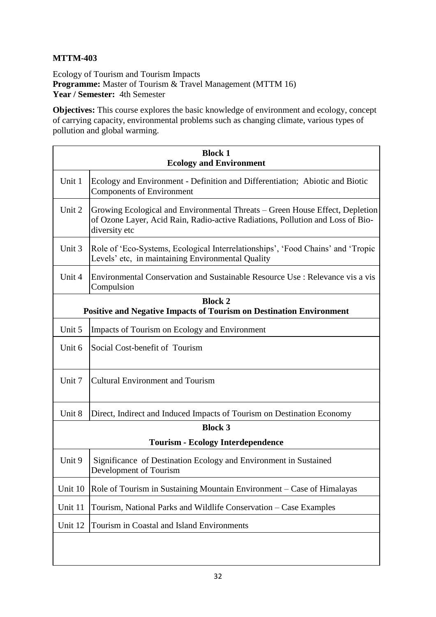## **MTTM-403**

Ecology of Tourism and Tourism Impacts **Programme:** Master of Tourism & Travel Management (MTTM 16) **Year / Semester:** 4th Semester

**Objectives:** This course explores the basic knowledge of environment and ecology, concept of carrying capacity, environmental problems such as changing climate, various types of pollution and global warming.

| <b>Block 1</b><br><b>Ecology and Environment</b>                           |                                                                                                                                                                                 |  |
|----------------------------------------------------------------------------|---------------------------------------------------------------------------------------------------------------------------------------------------------------------------------|--|
| Unit 1                                                                     | Ecology and Environment - Definition and Differentiation; Abiotic and Biotic<br><b>Components of Environment</b>                                                                |  |
| Unit 2                                                                     | Growing Ecological and Environmental Threats – Green House Effect, Depletion<br>of Ozone Layer, Acid Rain, Radio-active Radiations, Pollution and Loss of Bio-<br>diversity etc |  |
| Unit 3                                                                     | Role of 'Eco-Systems, Ecological Interrelationships', 'Food Chains' and 'Tropic<br>Levels' etc, in maintaining Environmental Quality                                            |  |
| Unit 4                                                                     | Environmental Conservation and Sustainable Resource Use : Relevance vis a vis<br>Compulsion                                                                                     |  |
| <b>Block 2</b>                                                             |                                                                                                                                                                                 |  |
| <b>Positive and Negative Impacts of Tourism on Destination Environment</b> |                                                                                                                                                                                 |  |
| Unit 5                                                                     | Impacts of Tourism on Ecology and Environment                                                                                                                                   |  |
| Unit 6                                                                     | Social Cost-benefit of Tourism                                                                                                                                                  |  |
| Unit 7                                                                     | <b>Cultural Environment and Tourism</b>                                                                                                                                         |  |
| Unit 8                                                                     | Direct, Indirect and Induced Impacts of Tourism on Destination Economy                                                                                                          |  |
| <b>Block 3</b>                                                             |                                                                                                                                                                                 |  |
| <b>Tourism - Ecology Interdependence</b>                                   |                                                                                                                                                                                 |  |
| Unit 9                                                                     | Significance of Destination Ecology and Environment in Sustained<br>Development of Tourism                                                                                      |  |
| Unit 10                                                                    | Role of Tourism in Sustaining Mountain Environment – Case of Himalayas                                                                                                          |  |
| Unit 11                                                                    | Tourism, National Parks and Wildlife Conservation - Case Examples                                                                                                               |  |
| Unit 12                                                                    | Tourism in Coastal and Island Environments                                                                                                                                      |  |
|                                                                            |                                                                                                                                                                                 |  |